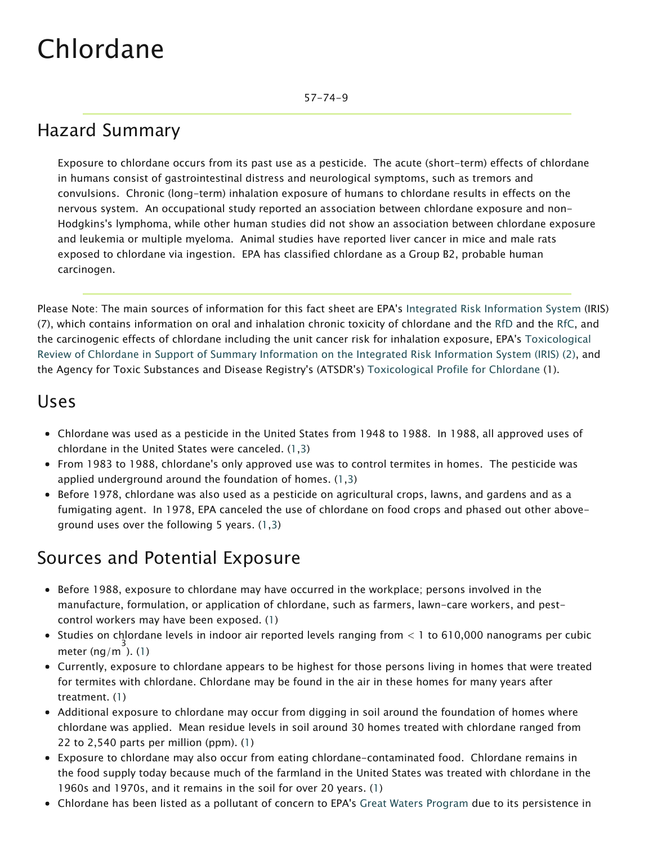57-74-9

# Hazard Summary

Exposure to chlordane occurs from its past use as a pesticide. The acute (short-term) effects of chlordane in humans consist of gastrointestinal distress and neurological symptoms, such as tremors and convulsions. Chronic (long-term) inhalation exposure of humans to chlordane results in effects on the nervous system. An occupational study reported an association between chlordane exposure and non-Hodgkins's lymphoma, while other human studies did not show an association between chlordane exposure and leukemia or multiple myeloma. Animal studies have reported liver cancer in mice and male rats exposed to chlordane via ingestion. EPA has classified chlordane as a Group B2, probable human carcinogen.

Please Note: The main sources of information for this fact sheet are EPA's Integrated Risk Information System (IRIS) (7), which contains information on oral and inhalation chronic toxicity of chlordane and the [RfD](https://www.epa.gov/haps/health-effects-notebook-glossary) and the [RfC,](https://www.epa.gov/haps/health-effects-notebook-glossary) and the carcinogenic effects of chlordane including the unit cancer risk for inhalation exposure, EPA's Toxicological Review of Chlordane in Support of Summary Information on the Integrated Risk Information System (IRIS) (2), and the Agency for Toxic Substances and Disease Registry's (ATSDR's) Toxicological Profile for Chlordane (1).

#### Uses

- Chlordane was used as a pesticide in the United States from 1948 to 1988. In 1988, all approved uses of chlordane in the United States were canceled. (1,3)
- From 1983 to 1988, chlordane's only approved use was to control termites in homes. The pesticide was applied underground around the foundation of homes. (1,3)
- Before 1978, chlordane was also used as a pesticide on agricultural crops, lawns, and gardens and as a fumigating agent. In 1978, EPA canceled the use of chlordane on food crops and phased out other aboveground uses over the following 5 years. (1,3)

# Sources and Potential Exposure

- Before 1988, exposure to chlordane may have occurred in the workplace; persons involved in the manufacture, formulation, or application of chlordane, such as farmers, lawn-care workers, and pestcontrol workers may have been exposed. (1)
- Studies on chlordane levels in indoor air reported levels ranging from < 1 to 610,000 nanograms per cubic meter (ng/m $^3$ ). (1)
- Currently, exposure to chlordane appears to be highest for those persons living in homes that were treated for termites with chlordane. Chlordane may be found in the air in these homes for many years after treatment. (1)
- Additional exposure to chlordane may occur from digging in soil around the foundation of homes where chlordane was applied. Mean residue levels in soil around 30 homes treated with chlordane ranged from 22 to 2,540 parts per million (ppm). (1)
- Exposure to chlordane may also occur from eating chlordane-contaminated food. Chlordane remains in the food supply today because much of the farmland in the United States was treated with chlordane in the 1960s and 1970s, and it remains in the soil for over 20 years. (1)
- Chlordane has been listed as a pollutant of concern to EPA's Great Waters Program due to its persistence in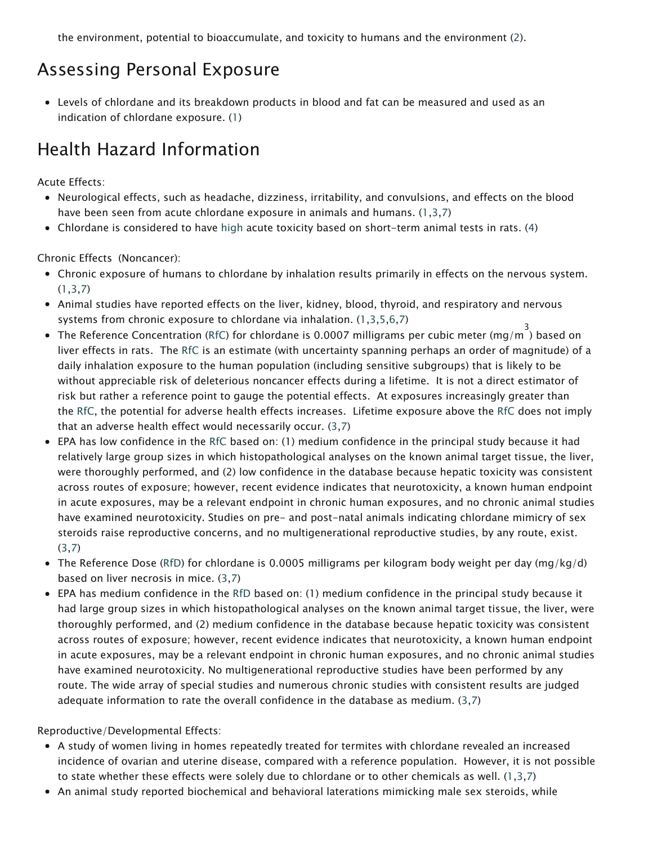the environment, potential to bioaccumulate, and toxicity to humans and the environment (2).

### Assessing Personal Exposure

Levels of chlordane and its breakdown products in blood and fat can be measured and used as an indication of chlordane exposure. (1)

# Health Hazard Information

Acute Effects:

- Neurological effects, such as headache, dizziness, irritability, and convulsions, and effects on the blood have been seen from acute chlordane exposure in animals and humans. (1,3,7)
- Chlordane is considered to have [high](https://www.epa.gov/haps/about-health-effects-fact-sheets) acute toxicity based on short-term animal tests in rats. (4)

Chronic Effects (Noncancer):

- Chronic exposure of humans to chlordane by inhalation results primarily in effects on the nervous system.  $(1,3,7)$
- Animal studies have reported effects on the liver, kidney, blood, thyroid, and respiratory and nervous systems from chronic exposure to chlordane via inhalation. (1,3,5,6,7)
- The Reference Concentration ([RfC](https://www.epa.gov/haps/health-effects-notebook-glossary)) for chlordane is 0.0007 milligrams per cubic meter (mg/m  $^3$ ) based on liver effects in rats. The [RfC](https://www.epa.gov/haps/health-effects-notebook-glossary) is an estimate (with uncertainty spanning perhaps an order of magnitude) of a daily inhalation exposure to the human population (including sensitive subgroups) that is likely to be without appreciable risk of deleterious noncancer effects during a lifetime. It is not a direct estimator of risk but rather a reference point to gauge the potential effects. At exposures increasingly greater than the [RfC](https://www.epa.gov/haps/health-effects-notebook-glossary), the potential for adverse health effects increases. Lifetime exposure above the [RfC](https://www.epa.gov/haps/health-effects-notebook-glossary) does not imply that an adverse health effect would necessarily occur. (3,7)
- EPA has low confidence in the [RfC](https://www.epa.gov/haps/health-effects-notebook-glossary) based on: (1) medium confidence in the principal study because it had relatively large group sizes in which histopathological analyses on the known animal target tissue, the liver, were thoroughly performed, and (2) low confidence in the database because hepatic toxicity was consistent across routes of exposure; however, recent evidence indicates that neurotoxicity, a known human endpoint in acute exposures, may be a relevant endpoint in chronic human exposures, and no chronic animal studies have examined neurotoxicity. Studies on pre- and post-natal animals indicating chlordane mimicry of sex steroids raise reproductive concerns, and no multigenerational reproductive studies, by any route, exist. (3,7)
- The Reference Dose [\(RfD\)](https://www.epa.gov/haps/health-effects-notebook-glossary) for chlordane is 0.0005 milligrams per kilogram body weight per day (mg/kg/d) based on liver necrosis in mice. (3,7)
- EPA has medium confidence in the [RfD](https://www.epa.gov/haps/health-effects-notebook-glossary) based on: (1) medium confidence in the principal study because it had large group sizes in which histopathological analyses on the known animal target tissue, the liver, were thoroughly performed, and (2) medium confidence in the database because hepatic toxicity was consistent across routes of exposure; however, recent evidence indicates that neurotoxicity, a known human endpoint in acute exposures, may be a relevant endpoint in chronic human exposures, and no chronic animal studies have examined neurotoxicity. No multigenerational reproductive studies have been performed by any route. The wide array of special studies and numerous chronic studies with consistent results are judged adequate information to rate the overall confidence in the database as medium. (3,7)

Reproductive/Developmental Effects:

- A study of women living in homes repeatedly treated for termites with chlordane revealed an increased incidence of ovarian and uterine disease, compared with a reference population. However, it is not possible to state whether these effects were solely due to chlordane or to other chemicals as well. (1,3,7)
- An animal study reported biochemical and behavioral laterations mimicking male sex steroids, while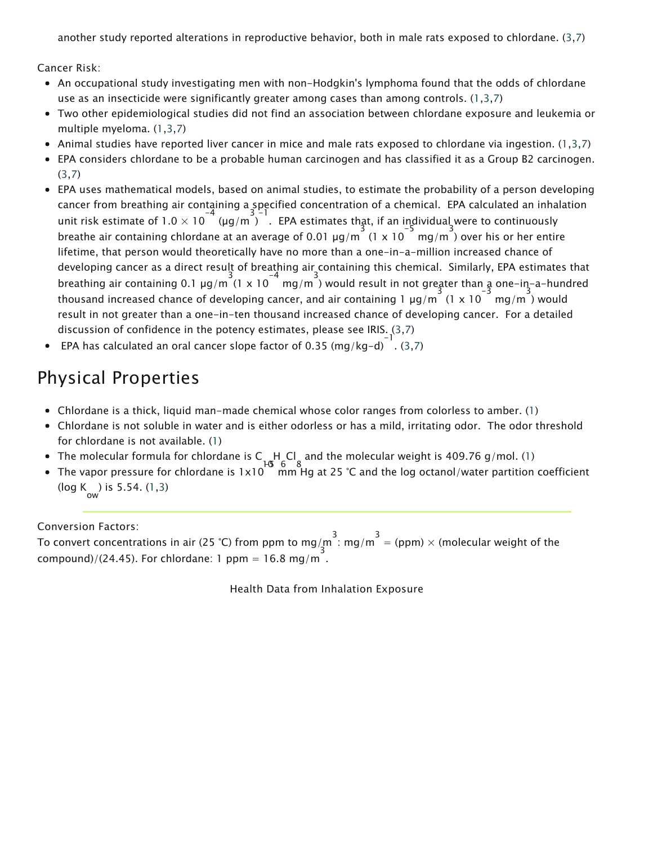another study reported alterations in reproductive behavior, both in male rats exposed to chlordane. (3,7)

Cancer Risk:

- An occupational study investigating men with non-Hodgkin's lymphoma found that the odds of chlordane use as an insecticide were significantly greater among cases than among controls. (1,3,7)
- Two other epidemiological studies did not find an association between chlordane exposure and leukemia or multiple myeloma. (1,3,7)
- Animal studies have reported liver cancer in mice and male rats exposed to chlordane via ingestion. (1,3,7)
- EPA considers chlordane to be a probable human carcinogen and has classified it as a Group B2 carcinogen. (3,7)
- EPA uses mathematical models, based on animal studies, to estimate the probability of a person developing cancer from breathing air containing a specified concentration of a chemical. EPA calculated an inhalation unit risk estimate of  $1.0 \times 10^{-4}$  (µg/m ) . EPA estimates that, if an individual were to continuously breathe air containing chlordane at an average of 0.01  $\mu$ g/m  $\left(\frac{3}{1} \times 10^{-5} \text{ mg/m}\right)$  over his or her entire lifetime, that person would theoretically have no more than a one-in-a-million increased chance of developing cancer as a direct result of breathing air containing this chemical. Similarly, EPA estimates that breathing air containing 0.1  $\mu$ g/m<sup>3</sup> (1 x 10<sup>-4</sup> mg/m<sup>3</sup>) would result in not greater than a one-in-a-hundred thousand increased chance of developing cancer, and air containing 1 µg/m (1 x 10 mg/m ) would result in not greater than a one-in-ten thousand increased chance of developing cancer. For a detailed discussion of confidence in the potency estimates, please see IRIS. (3,7)
- EPA has calculated an oral cancer slope factor of 0.35 (mg/kg-d) $^{-1}$ . (3,7)

### Physical Properties

- Chlordane is a thick, liquid man-made chemical whose color ranges from colorless to amber. (1)
- Chlordane is not soluble in water and is either odorless or has a mild, irritating odor. The odor threshold for chlordane is not available. (1)
- The molecular formula for chlordane is C 10 H 6 Cl 8 and the molecular weight is 409.76 g/mol. (1)
- The vapor pressure for chlordane is 1x10 HG 6 8<br>The vapor pressure for chlordane is 1x10 mm Hg at 25 °C and the log octanol/water partition coefficient (log K ow ) is 5.54. (1,3)

Conversion Factors:

To convert concentrations in air (25 °C) from ppm to mg/m<sup>3</sup>: mg/m<sup>3</sup> = (ppm) × (molecular weight of the  $compound)/(24.45)$ . For chlordane: 1 ppm = 16.8 mg/m.

Health Data from Inhalation Exposure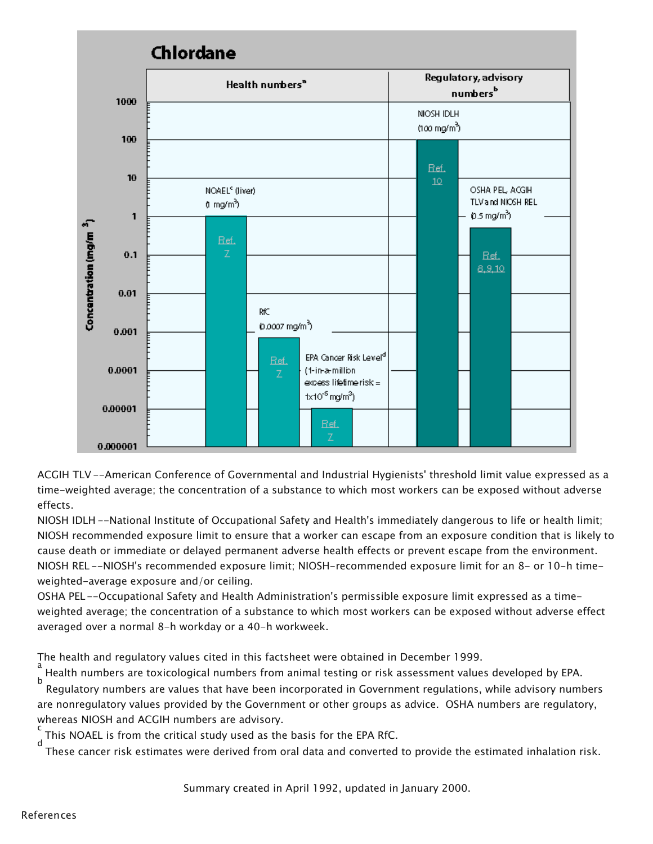

ACGIH TLV --American Conference of Governmental and Industrial Hygienists' threshold limit value expressed as a time-weighted average; the concentration of a substance to which most workers can be exposed without adverse effects.

NIOSH IDLH --National Institute of Occupational Safety and Health's immediately dangerous to life or health limit; NIOSH recommended exposure limit to ensure that a worker can escape from an exposure condition that is likely to cause death or immediate or delayed permanent adverse health effects or prevent escape from the environment. NIOSH REL --NIOSH's recommended exposure limit; NIOSH-recommended exposure limit for an 8- or 10-h timeweighted-average exposure and/or ceiling.

OSHA PEL--Occupational Safety and Health Administration's permissible exposure limit expressed as a timeweighted average; the concentration of a substance to which most workers can be exposed without adverse effect averaged over a normal 8-h workday or a 40-h workweek.

The health and regulatory values cited in this factsheet were obtained in December 1999.

a Health numbers are toxicological numbers from animal testing or risk assessment values developed by EPA. b

 Regulatory numbers are values that have been incorporated in Government regulations, while advisory numbers are nonregulatory values provided by the Government or other groups as advice. OSHA numbers are regulatory, whereas NIOSH and ACGIH numbers are advisory.

c This NOAEL is from the critical study used as the basis for the EPA RfC. d

These cancer risk estimates were derived from oral data and converted to provide the estimated inhalation risk.